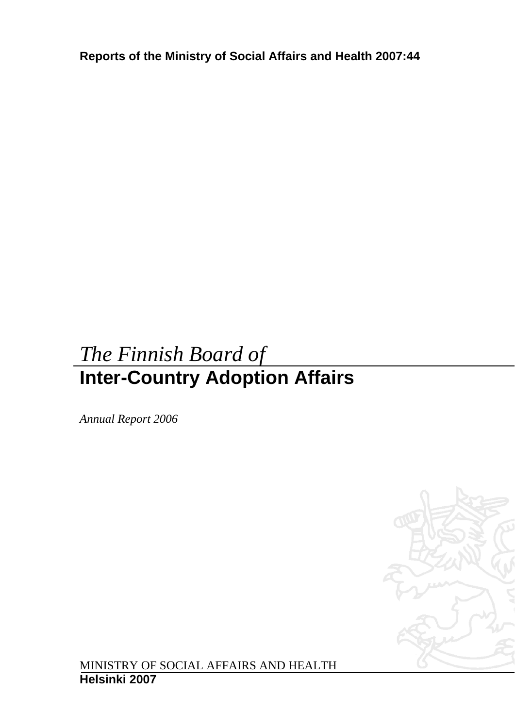**Reports of the Ministry of Social Affairs and Health 2007:44** 

# *The Finnish Board of*  **Inter-Country Adoption Affairs**

*Annual Report 2006* 



MINISTRY OF SOCIAL AFFAIRS AND HEALTH **Helsinki 2007**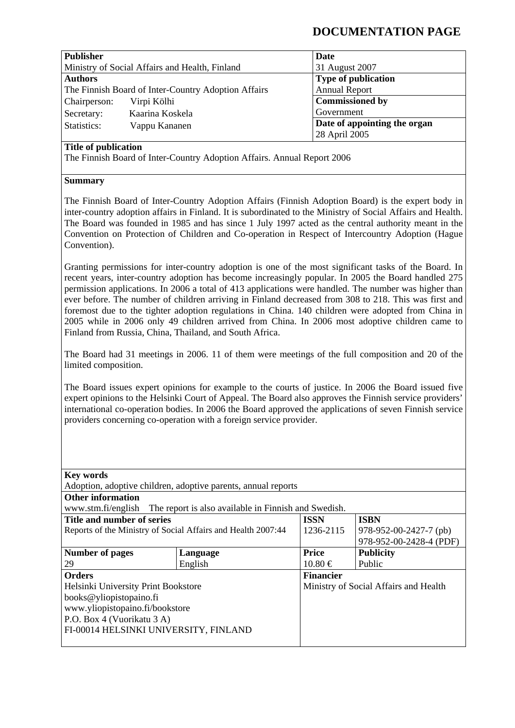# **DOCUMENTATION PAGE**

| <b>Publisher</b> |                                                     |                              |  |  |
|------------------|-----------------------------------------------------|------------------------------|--|--|
|                  |                                                     | Date                         |  |  |
|                  | Ministry of Social Affairs and Health, Finland      | 31 August 2007               |  |  |
| <b>Authors</b>   |                                                     | <b>Type of publication</b>   |  |  |
|                  | The Finnish Board of Inter-Country Adoption Affairs | <b>Annual Report</b>         |  |  |
| Chairperson:     | Virpi Kölhi                                         | <b>Commissioned by</b>       |  |  |
| Secretary:       | Kaarina Koskela                                     | Government                   |  |  |
| Statistics:      | Vappu Kananen                                       | Date of appointing the organ |  |  |
|                  |                                                     | 28 April 2005                |  |  |

### **Title of publication**

The Finnish Board of Inter-Country Adoption Affairs. Annual Report 2006

#### **Summary**

The Finnish Board of Inter-Country Adoption Affairs (Finnish Adoption Board) is the expert body in inter-country adoption affairs in Finland. It is subordinated to the Ministry of Social Affairs and Health. The Board was founded in 1985 and has since 1 July 1997 acted as the central authority meant in the Convention on Protection of Children and Co-operation in Respect of Intercountry Adoption (Hague Convention).

Granting permissions for inter-country adoption is one of the most significant tasks of the Board. In recent years, inter-country adoption has become increasingly popular. In 2005 the Board handled 275 permission applications. In 2006 a total of 413 applications were handled. The number was higher than ever before. The number of children arriving in Finland decreased from 308 to 218. This was first and foremost due to the tighter adoption regulations in China. 140 children were adopted from China in 2005 while in 2006 only 49 children arrived from China. In 2006 most adoptive children came to Finland from Russia, China, Thailand, and South Africa.

The Board had 31 meetings in 2006. 11 of them were meetings of the full composition and 20 of the limited composition.

The Board issues expert opinions for example to the courts of justice. In 2006 the Board issued five expert opinions to the Helsinki Court of Appeal. The Board also approves the Finnish service providers' international co-operation bodies. In 2006 the Board approved the applications of seven Finnish service providers concerning co-operation with a foreign service provider.

| <b>Key words</b>                                              |                                                                         |                  |                                       |  |  |  |  |  |
|---------------------------------------------------------------|-------------------------------------------------------------------------|------------------|---------------------------------------|--|--|--|--|--|
| Adoption, adoptive children, adoptive parents, annual reports |                                                                         |                  |                                       |  |  |  |  |  |
| <b>Other information</b>                                      |                                                                         |                  |                                       |  |  |  |  |  |
|                                                               | www.stm.fi/english The report is also available in Finnish and Swedish. |                  |                                       |  |  |  |  |  |
| Title and number of series                                    |                                                                         | <b>ISSN</b>      | <b>ISBN</b>                           |  |  |  |  |  |
| Reports of the Ministry of Social Affairs and Health 2007:44  |                                                                         | 1236-2115        | $978-952-00-2427-7$ (pb)              |  |  |  |  |  |
|                                                               |                                                                         |                  | 978-952-00-2428-4 (PDF)               |  |  |  |  |  |
| Number of pages                                               | Language                                                                | <b>Price</b>     | <b>Publicity</b>                      |  |  |  |  |  |
| 29                                                            | English                                                                 | $10.80 \in$      | Public                                |  |  |  |  |  |
| <b>Orders</b>                                                 |                                                                         | <b>Financier</b> |                                       |  |  |  |  |  |
| Helsinki University Print Bookstore                           |                                                                         |                  | Ministry of Social Affairs and Health |  |  |  |  |  |
| books@yliopistopaino.fi                                       |                                                                         |                  |                                       |  |  |  |  |  |
| www.yliopistopaino.fi/bookstore                               |                                                                         |                  |                                       |  |  |  |  |  |
| P.O. Box 4 (Vuorikatu 3 A)                                    |                                                                         |                  |                                       |  |  |  |  |  |
| FI-00014 HELSINKI UNIVERSITY, FINLAND                         |                                                                         |                  |                                       |  |  |  |  |  |
|                                                               |                                                                         |                  |                                       |  |  |  |  |  |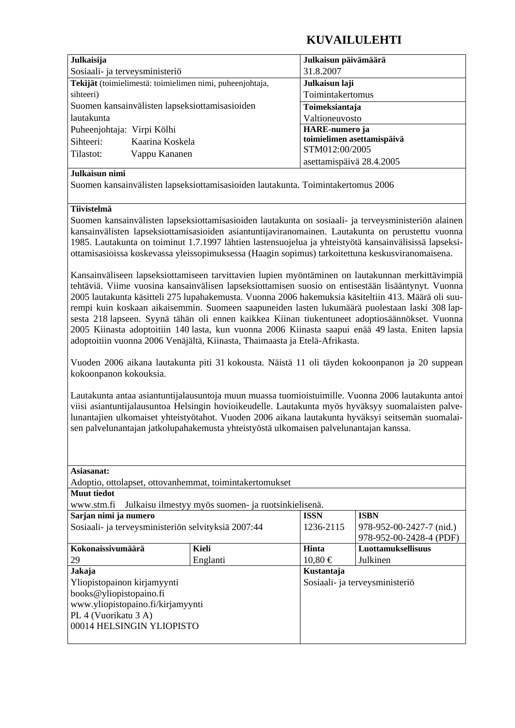# **KUVAILULEHTI**

| Julkaisija                     |                                                          | Julkaisun päivämäärä       |  |  |
|--------------------------------|----------------------------------------------------------|----------------------------|--|--|
| Sosiaali- ja terveysministeriö |                                                          | 31.8.2007                  |  |  |
|                                | Tekijät (toimielimestä: toimielimen nimi, puheenjohtaja, | Julkaisun laji             |  |  |
| sihteeri)                      |                                                          | Toimintakertomus           |  |  |
|                                | Suomen kansainvälisten lapseksiottamisasioiden           | Toimeksiantaja             |  |  |
| lautakunta                     |                                                          | Valtioneuvosto             |  |  |
| Puheenjohtaja: Virpi Kölhi     |                                                          | <b>HARE-numero</b> ja      |  |  |
| Sihteeri:                      | Kaarina Koskela                                          | toimielimen asettamispäivä |  |  |
| Tilastot:<br>Vappu Kananen     |                                                          | STM012:00/2005             |  |  |
|                                |                                                          | asettamispäivä 28.4.2005   |  |  |

#### **Julkaisun nimi**

Suomen kansainvälisten lapseksiottamisasioiden lautakunta. Toimintakertomus 2006

### **Tiivistelmä**

Suomen kansainvälisten lapseksiottamisasioiden lautakunta on sosiaali- ja terveysministeriön alainen kansainvälisten lapseksiottamisasioiden asiantuntijaviranomainen. Lautakunta on perustettu vuonna 1985. Lautakunta on toiminut 1.7.1997 lähtien lastensuojelua ja yhteistyötä kansainvälisissä lapseksiottamisasioissa koskevassa yleissopimuksessa (Haagin sopimus) tarkoitettuna keskusviranomaisena.

Kansainväliseen lapseksiottamiseen tarvittavien lupien myöntäminen on lautakunnan merkittävimpiä tehtäviä. Viime vuosina kansainvälisen lapseksiottamisen suosio on entisestään lisääntynyt. Vuonna 2005 lautakunta käsitteli 275 lupahakemusta. Vuonna 2006 hakemuksia käsiteltiin 413. Määrä oli suurempi kuin koskaan aikaisemmin. Suomeen saapuneiden lasten lukumäärä puolestaan laski 308 lapsesta 218 lapseen. Syynä tähän oli ennen kaikkea Kiinan tiukentuneet adoptiosäännökset. Vuonna 2005 Kiinasta adoptoitiin 140 lasta, kun vuonna 2006 Kiinasta saapui enää 49 lasta. Eniten lapsia adoptoitiin vuonna 2006 Venäjältä, Kiinasta, Thaimaasta ja Etelä-Afrikasta.

Vuoden 2006 aikana lautakunta piti 31 kokousta. Näistä 11 oli täyden kokoonpanon ja 20 suppean kokoonpanon kokouksia.

Lautakunta antaa asiantuntijalausuntoja muun muassa tuomioistuimille. Vuonna 2006 lautakunta antoi viisi asiantuntijalausuntoa Helsingin hovioikeudelle. Lautakunta myös hyväksyy suomalaisten palvelunantajien ulkomaiset yhteistyötahot. Vuoden 2006 aikana lautakunta hyväksyi seitsemän suomalaisen palvelunantajan jatkolupahakemusta yhteistyöstä ulkomaisen palvelunantajan kanssa.

| Asiasanat:                                              |                                                     |             |                                |  |  |  |  |  |
|---------------------------------------------------------|-----------------------------------------------------|-------------|--------------------------------|--|--|--|--|--|
| Adoptio, ottolapset, ottovanhemmat, toimintakertomukset |                                                     |             |                                |  |  |  |  |  |
| <b>Muut tiedot</b>                                      |                                                     |             |                                |  |  |  |  |  |
| www.stm.fi                                              | Julkaisu ilmestyy myös suomen- ja ruotsinkielisenä. |             |                                |  |  |  |  |  |
| Sarjan nimi ja numero                                   |                                                     | <b>ISSN</b> | <b>ISBN</b>                    |  |  |  |  |  |
| Sosiaali- ja terveysministeriön selvityksiä 2007:44     |                                                     | 1236-2115   | 978-952-00-2427-7 (nid.)       |  |  |  |  |  |
|                                                         |                                                     |             | 978-952-00-2428-4 (PDF)        |  |  |  |  |  |
| Kokonaissivumäärä                                       | Kieli                                               | Hinta       | <b>Luottamuksellisuus</b>      |  |  |  |  |  |
| 29                                                      | Englanti                                            | $10,80 \in$ | Julkinen                       |  |  |  |  |  |
| Jakaja                                                  |                                                     | Kustantaja  |                                |  |  |  |  |  |
| Yliopistopainon kirjamyynti                             |                                                     |             | Sosiaali- ja terveysministeriö |  |  |  |  |  |
| books@yliopistopaino.fi                                 |                                                     |             |                                |  |  |  |  |  |
| www.yliopistopaino.fi/kirjamyynti                       |                                                     |             |                                |  |  |  |  |  |
| PL 4 (Vuorikatu 3 A)                                    |                                                     |             |                                |  |  |  |  |  |
| 00014 HELSINGIN YLIOPISTO                               |                                                     |             |                                |  |  |  |  |  |
|                                                         |                                                     |             |                                |  |  |  |  |  |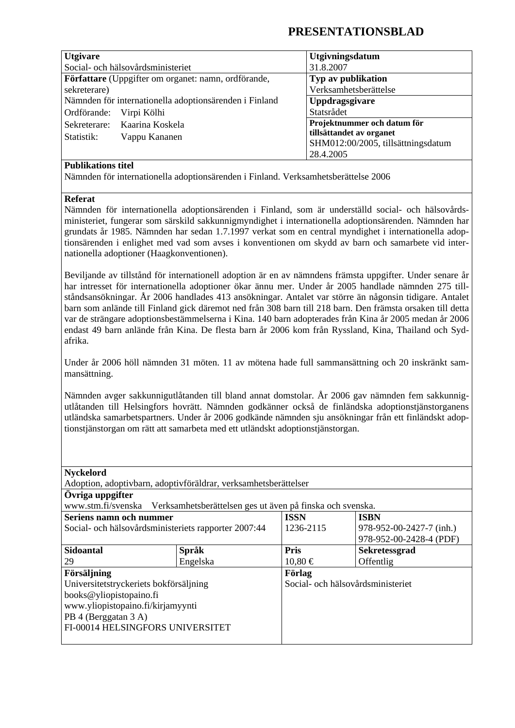# **PRESENTATIONSBLAD**

| <b>Utgivare</b>                                        | Utgivningsdatum                    |  |  |
|--------------------------------------------------------|------------------------------------|--|--|
| Social- och hälsovårdsministeriet                      | 31.8.2007                          |  |  |
| Författare (Uppgifter om organet: namn, ordförande,    | Typ av publikation                 |  |  |
| sekreterare)                                           | Verksamhetsberättelse              |  |  |
| Nämnden för internationella adoptionsärenden i Finland | <b>Uppdragsgivare</b>              |  |  |
| Ordförande:<br>Virpi Kölhi                             | Statsrådet                         |  |  |
| Kaarina Koskela<br>Sekreterare:                        | Projektnummer och datum för        |  |  |
| Statistik:<br>Vappu Kananen                            | tillsättandet av organet           |  |  |
|                                                        | SHM012:00/2005, tillsättningsdatum |  |  |
|                                                        | 28.4.2005                          |  |  |

### **Publikations titel**

Nämnden för internationella adoptionsärenden i Finland. Verksamhetsberättelse 2006

### **Referat**

Nämnden för internationella adoptionsärenden i Finland, som är underställd social- och hälsovårdsministeriet, fungerar som särskild sakkunnigmyndighet i internationella adoptionsärenden. Nämnden har grundats år 1985. Nämnden har sedan 1.7.1997 verkat som en central myndighet i internationella adoptionsärenden i enlighet med vad som avses i konventionen om skydd av barn och samarbete vid internationella adoptioner (Haagkonventionen).

Beviljande av tillstånd för internationell adoption är en av nämndens främsta uppgifter. Under senare år har intresset för internationella adoptioner ökar ännu mer. Under år 2005 handlade nämnden 275 tillståndsansökningar. År 2006 handlades 413 ansökningar. Antalet var större än någonsin tidigare. Antalet barn som anlände till Finland gick däremot ned från 308 barn till 218 barn. Den främsta orsaken till detta var de strängare adoptionsbestämmelserna i Kina. 140 barn adopterades från Kina år 2005 medan år 2006 endast 49 barn anlände från Kina. De flesta barn år 2006 kom från Ryssland, Kina, Thailand och Sydafrika.

Under år 2006 höll nämnden 31 möten. 11 av mötena hade full sammansättning och 20 inskränkt sammansättning.

Nämnden avger sakkunnigutlåtanden till bland annat domstolar. År 2006 gav nämnden fem sakkunnigutlåtanden till Helsingfors hovrätt. Nämnden godkänner också de finländska adoptionstjänstorganens utländska samarbetspartners. Under år 2006 godkände nämnden sju ansökningar från ett finländskt adoptionstjänstorgan om rätt att samarbeta med ett utländskt adoptionstjänstorgan.

### **Nyckelord**

| Adoption, adoptivbarn, adoptivföräldrar, verksamhetsberättelser                 |                                   |                          |  |  |  |  |  |  |
|---------------------------------------------------------------------------------|-----------------------------------|--------------------------|--|--|--|--|--|--|
|                                                                                 |                                   |                          |  |  |  |  |  |  |
| Verksamhetsberättelsen ges ut även på finska och svenska.<br>www.stm.fi/svenska |                                   |                          |  |  |  |  |  |  |
|                                                                                 | <b>ISSN</b>                       | <b>ISBN</b>              |  |  |  |  |  |  |
| Social- och hälsovårdsministeriets rapporter 2007:44                            | 1236-2115                         | 978-952-00-2427-7 (inh.) |  |  |  |  |  |  |
|                                                                                 |                                   | 978-952-00-2428-4 (PDF)  |  |  |  |  |  |  |
| Språk                                                                           | <b>Pris</b>                       | <b>Sekretessgrad</b>     |  |  |  |  |  |  |
| Engelska                                                                        | $10,80 \in$                       | Offentlig                |  |  |  |  |  |  |
|                                                                                 | Förlag                            |                          |  |  |  |  |  |  |
| Universitetstryckeriets bokförsäljning                                          | Social- och hälsovårdsministeriet |                          |  |  |  |  |  |  |
|                                                                                 |                                   |                          |  |  |  |  |  |  |
| www.yliopistopaino.fi/kirjamyynti                                               |                                   |                          |  |  |  |  |  |  |
|                                                                                 |                                   |                          |  |  |  |  |  |  |
| FI-00014 HELSINGFORS UNIVERSITET                                                |                                   |                          |  |  |  |  |  |  |
|                                                                                 |                                   |                          |  |  |  |  |  |  |
|                                                                                 |                                   |                          |  |  |  |  |  |  |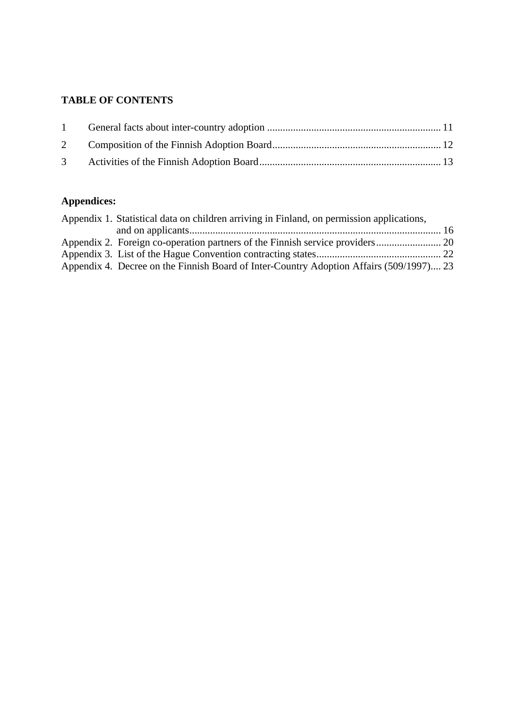# **TABLE OF CONTENTS**

| $1 \quad \blacksquare$ |  |
|------------------------|--|
|                        |  |
|                        |  |

# **Appendices:**

| Appendix 1. Statistical data on children arriving in Finland, on permission applications, |  |
|-------------------------------------------------------------------------------------------|--|
|                                                                                           |  |
|                                                                                           |  |
|                                                                                           |  |
| Appendix 4. Decree on the Finnish Board of Inter-Country Adoption Affairs (509/1997) 23   |  |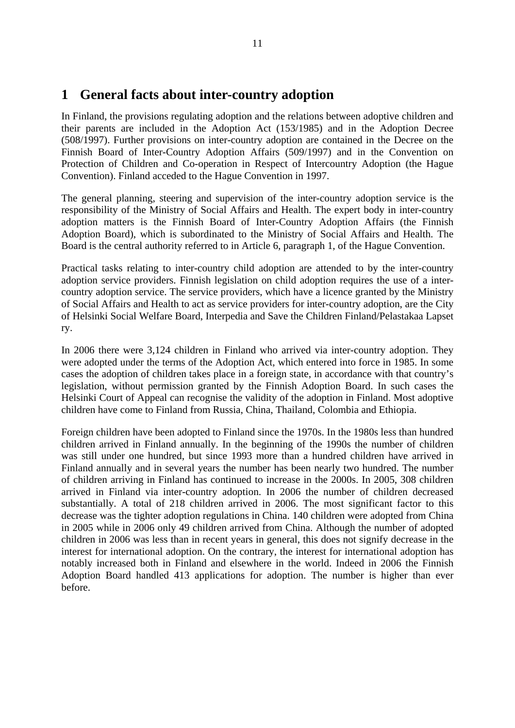# **1 General facts about inter-country adoption**

In Finland, the provisions regulating adoption and the relations between adoptive children and their parents are included in the Adoption Act (153/1985) and in the Adoption Decree (508/1997). Further provisions on inter-country adoption are contained in the Decree on the Finnish Board of Inter-Country Adoption Affairs (509/1997) and in the Convention on Protection of Children and Co-operation in Respect of Intercountry Adoption (the Hague Convention). Finland acceded to the Hague Convention in 1997.

The general planning, steering and supervision of the inter-country adoption service is the responsibility of the Ministry of Social Affairs and Health. The expert body in inter-country adoption matters is the Finnish Board of Inter-Country Adoption Affairs (the Finnish Adoption Board), which is subordinated to the Ministry of Social Affairs and Health. The Board is the central authority referred to in Article 6, paragraph 1, of the Hague Convention.

Practical tasks relating to inter-country child adoption are attended to by the inter-country adoption service providers. Finnish legislation on child adoption requires the use of a intercountry adoption service. The service providers, which have a licence granted by the Ministry of Social Affairs and Health to act as service providers for inter-country adoption, are the City of Helsinki Social Welfare Board, Interpedia and Save the Children Finland/Pelastakaa Lapset ry.

In 2006 there were 3,124 children in Finland who arrived via inter-country adoption. They were adopted under the terms of the Adoption Act, which entered into force in 1985. In some cases the adoption of children takes place in a foreign state, in accordance with that country's legislation, without permission granted by the Finnish Adoption Board. In such cases the Helsinki Court of Appeal can recognise the validity of the adoption in Finland. Most adoptive children have come to Finland from Russia, China, Thailand, Colombia and Ethiopia.

Foreign children have been adopted to Finland since the 1970s. In the 1980s less than hundred children arrived in Finland annually. In the beginning of the 1990s the number of children was still under one hundred, but since 1993 more than a hundred children have arrived in Finland annually and in several years the number has been nearly two hundred. The number of children arriving in Finland has continued to increase in the 2000s. In 2005, 308 children arrived in Finland via inter-country adoption. In 2006 the number of children decreased substantially. A total of 218 children arrived in 2006. The most significant factor to this decrease was the tighter adoption regulations in China. 140 children were adopted from China in 2005 while in 2006 only 49 children arrived from China. Although the number of adopted children in 2006 was less than in recent years in general, this does not signify decrease in the interest for international adoption. On the contrary, the interest for international adoption has notably increased both in Finland and elsewhere in the world. Indeed in 2006 the Finnish Adoption Board handled 413 applications for adoption. The number is higher than ever before.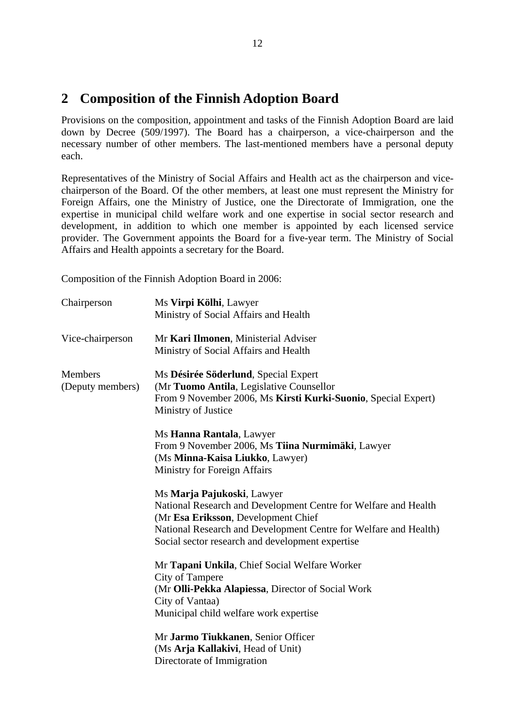# **2 Composition of the Finnish Adoption Board**

Provisions on the composition, appointment and tasks of the Finnish Adoption Board are laid down by Decree (509/1997). The Board has a chairperson, a vice-chairperson and the necessary number of other members. The last-mentioned members have a personal deputy each.

Representatives of the Ministry of Social Affairs and Health act as the chairperson and vicechairperson of the Board. Of the other members, at least one must represent the Ministry for Foreign Affairs, one the Ministry of Justice, one the Directorate of Immigration, one the expertise in municipal child welfare work and one expertise in social sector research and development, in addition to which one member is appointed by each licensed service provider. The Government appoints the Board for a five-year term. The Ministry of Social Affairs and Health appoints a secretary for the Board.

Composition of the Finnish Adoption Board in 2006:

| Chairperson                        | Ms Virpi Kölhi, Lawyer<br>Ministry of Social Affairs and Health                                                                                                                                                                                              |
|------------------------------------|--------------------------------------------------------------------------------------------------------------------------------------------------------------------------------------------------------------------------------------------------------------|
| Vice-chairperson                   | Mr Kari Ilmonen, Ministerial Adviser<br>Ministry of Social Affairs and Health                                                                                                                                                                                |
| <b>Members</b><br>(Deputy members) | Ms Désirée Söderlund, Special Expert<br>(Mr Tuomo Antila, Legislative Counsellor<br>From 9 November 2006, Ms Kirsti Kurki-Suonio, Special Expert)<br>Ministry of Justice                                                                                     |
|                                    | Ms Hanna Rantala, Lawyer<br>From 9 November 2006, Ms Tiina Nurmimäki, Lawyer<br>(Ms Minna-Kaisa Liukko, Lawyer)<br><b>Ministry for Foreign Affairs</b>                                                                                                       |
|                                    | Ms Marja Pajukoski, Lawyer<br>National Research and Development Centre for Welfare and Health<br>(Mr Esa Eriksson, Development Chief<br>National Research and Development Centre for Welfare and Health)<br>Social sector research and development expertise |
|                                    | Mr Tapani Unkila, Chief Social Welfare Worker<br>City of Tampere<br>(Mr Olli-Pekka Alapiessa, Director of Social Work<br>City of Vantaa)<br>Municipal child welfare work expertise                                                                           |
|                                    | Mr Jarmo Tiukkanen, Senior Officer<br>(Ms Arja Kallakivi, Head of Unit)<br>Directorate of Immigration                                                                                                                                                        |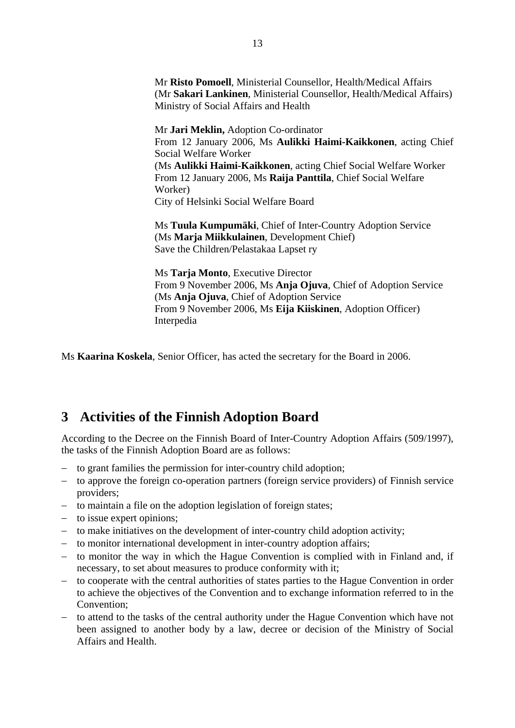Mr **Risto Pomoell**, Ministerial Counsellor, Health/Medical Affairs (Mr **Sakari Lankinen**, Ministerial Counsellor, Health/Medical Affairs) Ministry of Social Affairs and Health

Mr **Jari Meklin,** Adoption Co-ordinator From 12 January 2006, Ms **Aulikki Haimi-Kaikkonen**, acting Chief Social Welfare Worker (Ms **Aulikki Haimi-Kaikkonen**, acting Chief Social Welfare Worker From 12 January 2006, Ms **Raija Panttila**, Chief Social Welfare Worker) City of Helsinki Social Welfare Board

Ms **Tuula Kumpumäki**, Chief of Inter-Country Adoption Service (Ms **Marja Miikkulainen**, Development Chief) Save the Children/Pelastakaa Lapset ry

Ms **Tarja Monto**, Executive Director From 9 November 2006, Ms **Anja Ojuva**, Chief of Adoption Service (Ms **Anja Ojuva**, Chief of Adoption Service From 9 November 2006, Ms **Eija Kiiskinen**, Adoption Officer) Interpedia

Ms **Kaarina Koskela**, Senior Officer, has acted the secretary for the Board in 2006.

# **3 Activities of the Finnish Adoption Board**

According to the Decree on the Finnish Board of Inter-Country Adoption Affairs (509/1997), the tasks of the Finnish Adoption Board are as follows:

- − to grant families the permission for inter-country child adoption;
- − to approve the foreign co-operation partners (foreign service providers) of Finnish service providers;
- − to maintain a file on the adoption legislation of foreign states;
- − to issue expert opinions;
- − to make initiatives on the development of inter-country child adoption activity;
- − to monitor international development in inter-country adoption affairs;
- − to monitor the way in which the Hague Convention is complied with in Finland and, if necessary, to set about measures to produce conformity with it;
- − to cooperate with the central authorities of states parties to the Hague Convention in order to achieve the objectives of the Convention and to exchange information referred to in the Convention;
- − to attend to the tasks of the central authority under the Hague Convention which have not been assigned to another body by a law, decree or decision of the Ministry of Social Affairs and Health.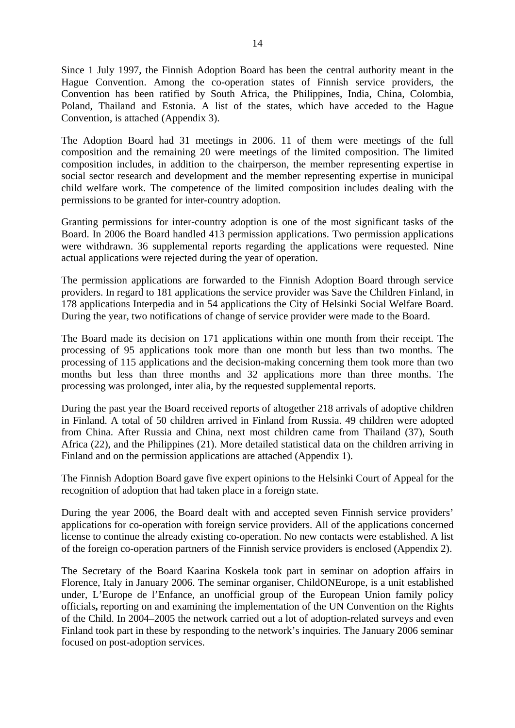Since 1 July 1997, the Finnish Adoption Board has been the central authority meant in the Hague Convention. Among the co-operation states of Finnish service providers, the Convention has been ratified by South Africa, the Philippines, India, China, Colombia, Poland, Thailand and Estonia. A list of the states, which have acceded to the Hague Convention, is attached (Appendix 3).

The Adoption Board had 31 meetings in 2006. 11 of them were meetings of the full composition and the remaining 20 were meetings of the limited composition. The limited composition includes, in addition to the chairperson, the member representing expertise in social sector research and development and the member representing expertise in municipal child welfare work. The competence of the limited composition includes dealing with the permissions to be granted for inter-country adoption.

Granting permissions for inter-country adoption is one of the most significant tasks of the Board. In 2006 the Board handled 413 permission applications. Two permission applications were withdrawn. 36 supplemental reports regarding the applications were requested. Nine actual applications were rejected during the year of operation.

The permission applications are forwarded to the Finnish Adoption Board through service providers. In regard to 181 applications the service provider was Save the Children Finland, in 178 applications Interpedia and in 54 applications the City of Helsinki Social Welfare Board. During the year, two notifications of change of service provider were made to the Board.

The Board made its decision on 171 applications within one month from their receipt. The processing of 95 applications took more than one month but less than two months. The processing of 115 applications and the decision-making concerning them took more than two months but less than three months and 32 applications more than three months. The processing was prolonged, inter alia, by the requested supplemental reports.

During the past year the Board received reports of altogether 218 arrivals of adoptive children in Finland. A total of 50 children arrived in Finland from Russia. 49 children were adopted from China. After Russia and China, next most children came from Thailand (37), South Africa (22), and the Philippines (21). More detailed statistical data on the children arriving in Finland and on the permission applications are attached (Appendix 1).

The Finnish Adoption Board gave five expert opinions to the Helsinki Court of Appeal for the recognition of adoption that had taken place in a foreign state.

During the year 2006, the Board dealt with and accepted seven Finnish service providers' applications for co-operation with foreign service providers. All of the applications concerned license to continue the already existing co-operation. No new contacts were established. A list of the foreign co-operation partners of the Finnish service providers is enclosed (Appendix 2).

The Secretary of the Board Kaarina Koskela took part in seminar on adoption affairs in Florence, Italy in January 2006. The seminar organiser, ChildONEurope, is a unit established under, L'Europe de l'Enfance, an unofficial group of the European Union family policy officials**,** reporting on and examining the implementation of the UN Convention on the Rights of the Child. In 2004–2005 the network carried out a lot of adoption-related surveys and even Finland took part in these by responding to the network's inquiries. The January 2006 seminar focused on post-adoption services.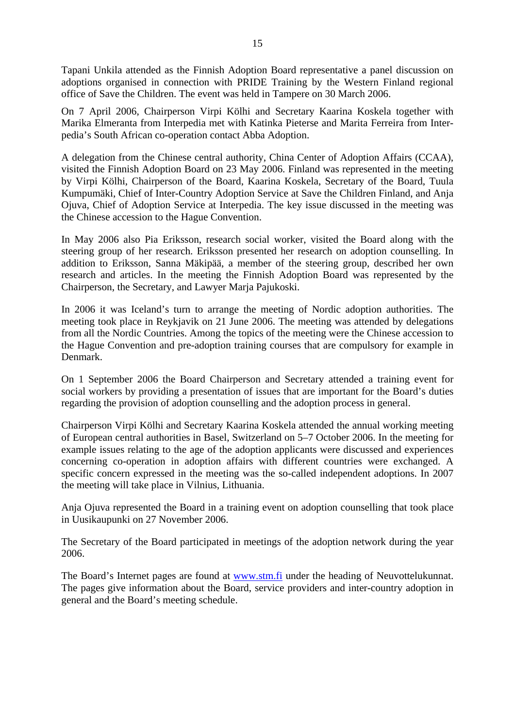Tapani Unkila attended as the Finnish Adoption Board representative a panel discussion on adoptions organised in connection with PRIDE Training by the Western Finland regional office of Save the Children. The event was held in Tampere on 30 March 2006.

On 7 April 2006, Chairperson Virpi Kölhi and Secretary Kaarina Koskela together with Marika Elmeranta from Interpedia met with Katinka Pieterse and Marita Ferreira from Interpedia's South African co-operation contact Abba Adoption.

A delegation from the Chinese central authority, China Center of Adoption Affairs (CCAA), visited the Finnish Adoption Board on 23 May 2006. Finland was represented in the meeting by Virpi Kölhi, Chairperson of the Board, Kaarina Koskela, Secretary of the Board, Tuula Kumpumäki, Chief of Inter-Country Adoption Service at Save the Children Finland, and Anja Ojuva, Chief of Adoption Service at Interpedia. The key issue discussed in the meeting was the Chinese accession to the Hague Convention.

In May 2006 also Pia Eriksson, research social worker, visited the Board along with the steering group of her research. Eriksson presented her research on adoption counselling. In addition to Eriksson, Sanna Mäkipää, a member of the steering group, described her own research and articles. In the meeting the Finnish Adoption Board was represented by the Chairperson, the Secretary, and Lawyer Marja Pajukoski.

In 2006 it was Iceland's turn to arrange the meeting of Nordic adoption authorities. The meeting took place in Reykjavik on 21 June 2006. The meeting was attended by delegations from all the Nordic Countries. Among the topics of the meeting were the Chinese accession to the Hague Convention and pre-adoption training courses that are compulsory for example in Denmark.

On 1 September 2006 the Board Chairperson and Secretary attended a training event for social workers by providing a presentation of issues that are important for the Board's duties regarding the provision of adoption counselling and the adoption process in general.

Chairperson Virpi Kölhi and Secretary Kaarina Koskela attended the annual working meeting of European central authorities in Basel, Switzerland on 5–7 October 2006. In the meeting for example issues relating to the age of the adoption applicants were discussed and experiences concerning co-operation in adoption affairs with different countries were exchanged. A specific concern expressed in the meeting was the so-called independent adoptions. In 2007 the meeting will take place in Vilnius, Lithuania.

Anja Ojuva represented the Board in a training event on adoption counselling that took place in Uusikaupunki on 27 November 2006.

The Secretary of the Board participated in meetings of the adoption network during the year 2006.

The Board's Internet pages are found at www.stm.fi under the heading of Neuvottelukunnat. The pages give information about the Board, service providers and inter-country adoption in general and the Board's meeting schedule.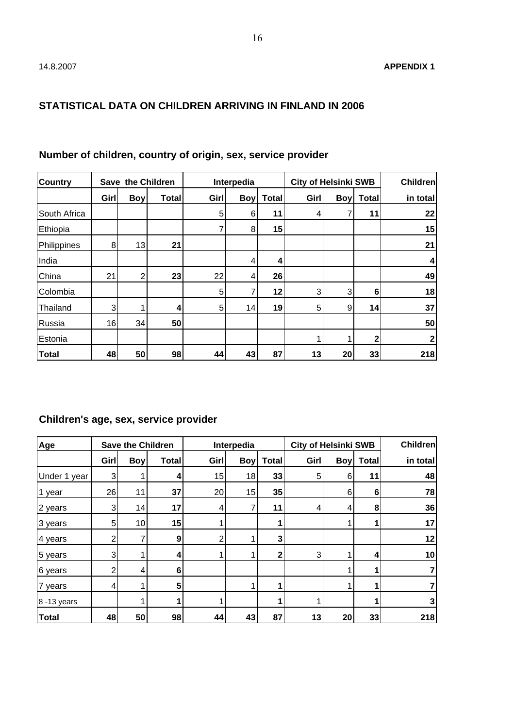### **STATISTICAL DATA ON CHILDREN ARRIVING IN FINLAND IN 2006**

| <b>Country</b> | Save the Children |            |              | Interpedia |            |              | <b>City of Helsinki SWB</b> |            |              | <b>Children</b> |
|----------------|-------------------|------------|--------------|------------|------------|--------------|-----------------------------|------------|--------------|-----------------|
|                | Girl              | <b>Boy</b> | <b>Total</b> | Girl       | <b>Boy</b> | <b>Total</b> | Girl                        | <b>Boy</b> | <b>Total</b> | in total        |
| South Africa   |                   |            |              | 5          | 6          | 11           | 4                           |            | 11           | 22              |
| Ethiopia       |                   |            |              |            | 8          | 15           |                             |            |              | 15              |
| Philippines    | 8                 | 13         | 21           |            |            |              |                             |            |              | 21              |
| India          |                   |            |              |            | 4          | 4            |                             |            |              | 4               |
| China          | 21                | 2          | 23           | 22         | 4          | 26           |                             |            |              | 49              |
| Colombia       |                   |            |              | 5          |            | 12           | 3                           | 3          | 6            | 18              |
| Thailand       | $\overline{3}$    |            | 4            | 5          | 14         | 19           | 5                           | 9          | 14           | 37              |
| Russia         | 16                | 34         | 50           |            |            |              |                             |            |              | 50              |
| Estonia        |                   |            |              |            |            |              |                             |            | $\mathbf{2}$ | 2               |
| <b>Total</b>   | 48                | 50         | 98           | 44         | 43         | 87           | 13                          | 20         | 33           | 218             |

# **Number of children, country of origin, sex, service provider**

# **Children's age, sex, service provider**

| Age          | <b>Save the Children</b> |            |       | Interpedia |            |              | <b>City of Helsinki SWB</b> |            |              | <b>Children</b> |
|--------------|--------------------------|------------|-------|------------|------------|--------------|-----------------------------|------------|--------------|-----------------|
|              | Girl                     | <b>Boy</b> | Total | Girl       | <b>Boy</b> | <b>Total</b> | Girl                        | <b>Boy</b> | <b>Total</b> | in total        |
| Under 1 year | 3                        |            | 4     | 15         | 18         | 33           | 5                           | 6          | 11           | 48              |
| 1 year       | 26                       | 11         | 37    | 20         | 15         | 35           |                             | 6          | 6            | 78              |
| 2 years      | 3 <sub>l</sub>           | 14         | 17    | 4          |            | 11           |                             | 4          | 8            | 36              |
| 3 years      | 5                        | 10         | 15    |            |            |              |                             |            |              | 17              |
| 4 years      | 2                        |            | 9     | 2          |            | 3            |                             |            |              | 12              |
| 5 years      | 3                        |            | 4     |            |            | 2            | 3                           |            | 4            | 10              |
| 6 years      | 2                        | 4          | 6     |            |            |              |                             |            |              |                 |
| 7 years      | 4                        |            | 5     |            |            |              |                             |            |              |                 |
| 8-13 years   |                          |            |       |            |            |              |                             |            |              | 3               |
| <b>Total</b> | 48                       | 50         | 98    | 44         | 43         | 87           | 13                          | 20         | 33           | 218             |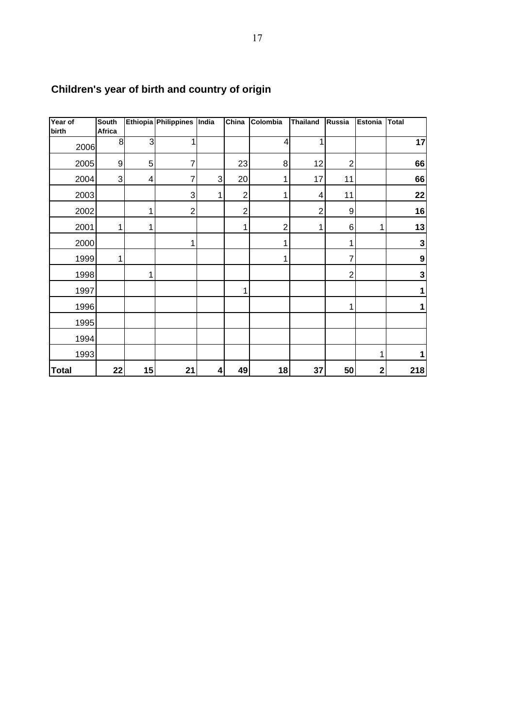| Year of<br>birth | <b>South</b><br>Africa |                | Ethiopia Philippines India |   | $\overline{\text{China}}$ | Colombia       | <b>Thailand</b>  | Russia         | Estonia      | <b>Total</b>     |
|------------------|------------------------|----------------|----------------------------|---|---------------------------|----------------|------------------|----------------|--------------|------------------|
| 2006             | 8                      | $\overline{3}$ | 1                          |   |                           | 4              |                  |                |              | 17               |
| 2005             | 9                      | 5              | 7                          |   | 23                        | 8              | 12               | $\overline{c}$ |              | 66               |
| 2004             | 3                      | 4              | 7                          | 3 | 20                        | 1              | 17               | 11             |              | 66               |
| 2003             |                        |                | 3                          | 1 | $\overline{2}$            | 1              | 4                | 11             |              | 22               |
| 2002             |                        | 1              | $\overline{c}$             |   | $\overline{2}$            |                | $\boldsymbol{2}$ | 9              |              | 16               |
| 2001             | 1                      | 1              |                            |   | 1                         | $\overline{2}$ | 1                | 6              | 1            | 13               |
| 2000             |                        |                | 1                          |   |                           | 1              |                  | 1              |              | $\mathbf 3$      |
| 1999             | 1                      |                |                            |   |                           | 1              |                  |                |              | $\boldsymbol{9}$ |
| 1998             |                        | 1              |                            |   |                           |                |                  | $\overline{c}$ |              | $\mathbf 3$      |
| 1997             |                        |                |                            |   | 1                         |                |                  |                |              | 1                |
| 1996             |                        |                |                            |   |                           |                |                  | 1              |              | 1                |
| 1995             |                        |                |                            |   |                           |                |                  |                |              |                  |
| 1994             |                        |                |                            |   |                           |                |                  |                |              |                  |
| 1993             |                        |                |                            |   |                           |                |                  |                |              | 1                |
| <b>Total</b>     | 22                     | 15             | 21                         | 4 | 49                        | 18             | 37               | 50             | $\mathbf{2}$ | 218              |

# **Children's year of birth and country of origin**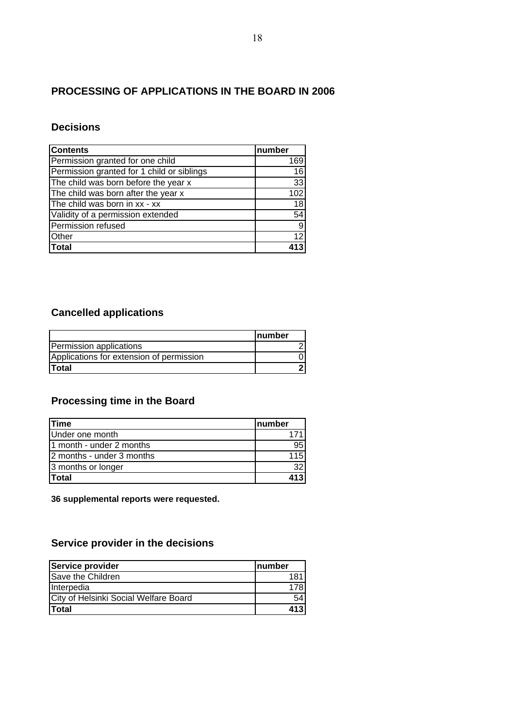### **PROCESSING OF APPLICATIONS IN THE BOARD IN 2006**

### **Decisions**

| <b>Contents</b>                            | number |
|--------------------------------------------|--------|
| Permission granted for one child           | 169    |
| Permission granted for 1 child or siblings | 16     |
| The child was born before the year x       | 33     |
| The child was born after the year x        | 102    |
| The child was born in xx - xx              | 18     |
| Validity of a permission extended          | 54     |
| Permission refused                         | 9      |
| Other                                      | 12     |
| Total                                      |        |

# **Cancelled applications**

|                                          | <b>Inumber</b> |
|------------------------------------------|----------------|
| Permission applications                  |                |
| Applications for extension of permission |                |
| <b>Total</b>                             |                |

### **Processing time in the Board**

| <b>Time</b>                | Inumber          |
|----------------------------|------------------|
| Under one month            |                  |
| 11 month - under 2 months  | 95               |
| 12 months - under 3 months | .15 <sup>2</sup> |
| 3 months or longer         | 32 <sub>1</sub>  |
| <b>Total</b>               | 413              |

**36 supplemental reports were requested.**

### **Service provider in the decisions**

| Service provider                      | Inumber |
|---------------------------------------|---------|
| Save the Children                     |         |
| Interpedia                            | 178     |
| City of Helsinki Social Welfare Board | 54      |
| <b>Total</b>                          | 413     |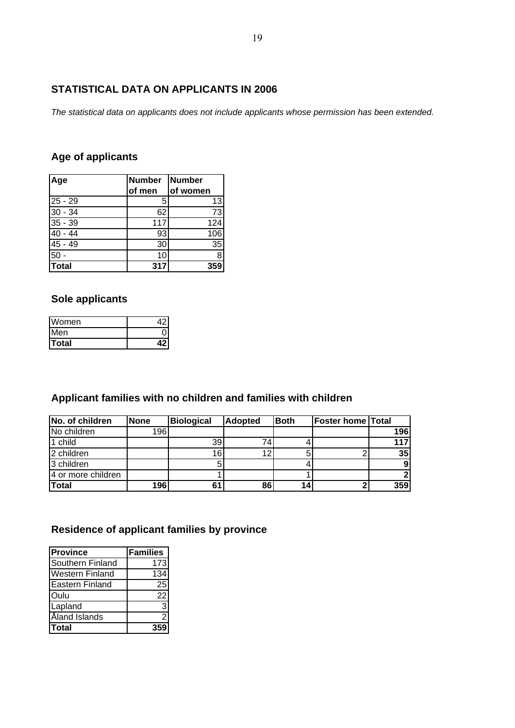### **STATISTICAL DATA ON APPLICANTS IN 2006**

*The statistical data on applicants does not include applicants whose permission has been extended.*

### **Age of applicants**

| Age       | Number Number |          |
|-----------|---------------|----------|
|           | of men        | of women |
| $25 - 29$ | 5             | 13       |
| $30 - 34$ | 62            | 73       |
| $35 - 39$ | 117           | 124      |
| $40 - 44$ | 93            | 106      |
| $45 - 49$ | 30            | 35       |
| 50        | 10            | 8        |
| Total     | 317           | 359      |

### **Sole applicants**

| Women  |  |
|--------|--|
| IMen   |  |
| lTotal |  |

# **Applicant families with no children and families with children**

| No. of children    | <b>None</b> | <b>Biological</b> | <b>Adopted</b> | <b>Both</b> | <b>Foster home Total</b> |            |
|--------------------|-------------|-------------------|----------------|-------------|--------------------------|------------|
| No children        | 196         |                   |                |             |                          | <b>196</b> |
| 1 child            |             | 39                |                |             |                          | 117        |
| 2 children         |             | 16                | 1 ຕ            |             |                          | 35         |
| 3 children         |             |                   |                |             |                          | 9          |
| 4 or more children |             |                   |                |             |                          |            |
| <b>Total</b>       | 196         |                   | 86             |             |                          | 359        |

# **Residence of applicant families by province**

| <b>Province</b>        | <b>Families</b> |
|------------------------|-----------------|
| Southern Finland       | 173             |
| <b>Western Finland</b> | 134             |
| <b>Eastern Finland</b> | 25              |
| <b>Oulu</b>            | 22              |
| Lapland                | 3               |
| Åland Islands          | 2               |
| <b>Total</b>           |                 |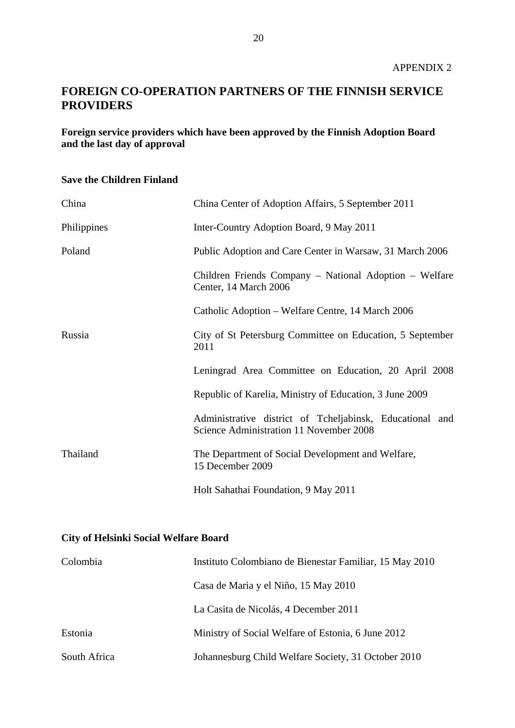# **FOREIGN CO-OPERATION PARTNERS OF THE FINNISH SERVICE PROVIDERS**

**Foreign service providers which have been approved by the Finnish Adoption Board and the last day of approval**

### **Save the Children Finland**

| China       | China Center of Adoption Affairs, 5 September 2011                                                  |
|-------------|-----------------------------------------------------------------------------------------------------|
| Philippines | Inter-Country Adoption Board, 9 May 2011                                                            |
| Poland      | Public Adoption and Care Center in Warsaw, 31 March 2006                                            |
|             | Children Friends Company – National Adoption – Welfare<br>Center, 14 March 2006                     |
|             | Catholic Adoption – Welfare Centre, 14 March 2006                                                   |
| Russia      | City of St Petersburg Committee on Education, 5 September<br>2011                                   |
|             | Leningrad Area Committee on Education, 20 April 2008                                                |
|             | Republic of Karelia, Ministry of Education, 3 June 2009                                             |
|             | Administrative district of Tcheljabinsk, Educational and<br>Science Administration 11 November 2008 |
| Thailand    | The Department of Social Development and Welfare,<br>15 December 2009                               |
|             | Holt Sahathai Foundation, 9 May 2011                                                                |

### **City of Helsinki Social Welfare Board**

| Colombia     | Instituto Colombiano de Bienestar Familiar, 15 May 2010 |
|--------------|---------------------------------------------------------|
|              | Casa de Maria y el Niño, 15 May 2010                    |
|              | La Casita de Nicolás, 4 December 2011                   |
| Estonia      | Ministry of Social Welfare of Estonia, 6 June 2012      |
| South Africa | Johannesburg Child Welfare Society, 31 October 2010     |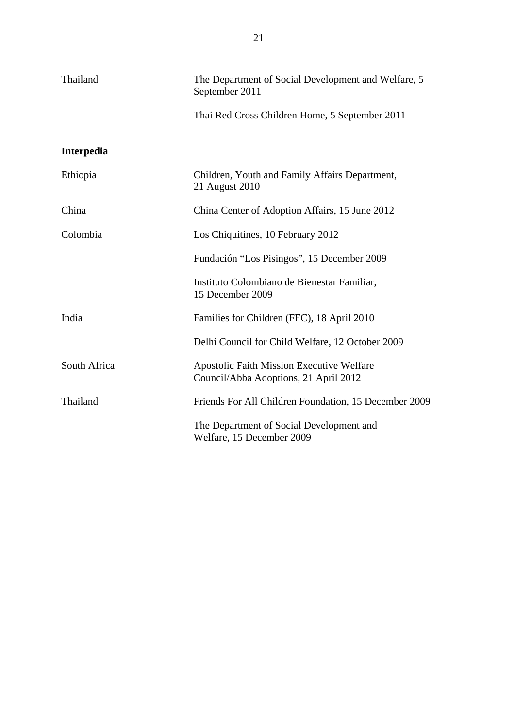| Thailand     | The Department of Social Development and Welfare, 5<br>September 2011                     |  |
|--------------|-------------------------------------------------------------------------------------------|--|
|              | Thai Red Cross Children Home, 5 September 2011                                            |  |
| Interpedia   |                                                                                           |  |
| Ethiopia     | Children, Youth and Family Affairs Department,<br>21 August 2010                          |  |
| China        | China Center of Adoption Affairs, 15 June 2012                                            |  |
| Colombia     | Los Chiquitines, 10 February 2012                                                         |  |
|              | Fundación "Los Pisingos", 15 December 2009                                                |  |
|              | Instituto Colombiano de Bienestar Familiar,<br>15 December 2009                           |  |
| India        | Families for Children (FFC), 18 April 2010                                                |  |
|              | Delhi Council for Child Welfare, 12 October 2009                                          |  |
| South Africa | <b>Apostolic Faith Mission Executive Welfare</b><br>Council/Abba Adoptions, 21 April 2012 |  |
| Thailand     | Friends For All Children Foundation, 15 December 2009                                     |  |
|              | The Department of Social Development and<br>Welfare, 15 December 2009                     |  |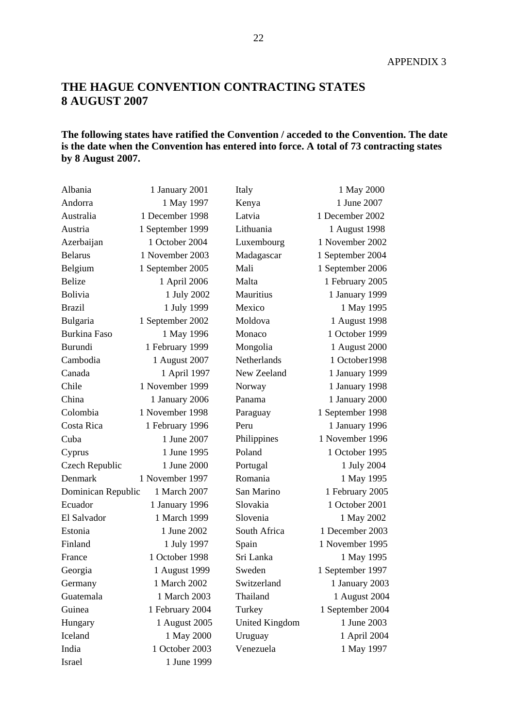# **THE HAGUE CONVENTION CONTRACTING STATES 8 AUGUST 2007**

### **The following states have ratified the Convention / acceded to the Convention. The date is the date when the Convention has entered into force. A total of 73 contracting states by 8 August 2007.**

| Albania             | 1 January 2001   | Italy                 | 1 May 2000       |
|---------------------|------------------|-----------------------|------------------|
| Andorra             | 1 May 1997       | Kenya                 | 1 June 2007      |
| Australia           | 1 December 1998  | Latvia                | 1 December 2002  |
| Austria             | 1 September 1999 | Lithuania             | 1 August 1998    |
| Azerbaijan          | 1 October 2004   | Luxembourg            | 1 November 2002  |
| <b>Belarus</b>      | 1 November 2003  | Madagascar            | 1 September 2004 |
| Belgium             | 1 September 2005 | Mali                  | 1 September 2006 |
| <b>Belize</b>       | 1 April 2006     | Malta                 | 1 February 2005  |
| <b>Bolivia</b>      | 1 July 2002      | Mauritius             | 1 January 1999   |
| <b>Brazil</b>       | 1 July 1999      | Mexico                | 1 May 1995       |
| Bulgaria            | 1 September 2002 | Moldova               | 1 August 1998    |
| <b>Burkina Faso</b> | 1 May 1996       | Monaco                | 1 October 1999   |
| Burundi             | 1 February 1999  | Mongolia              | 1 August 2000    |
| Cambodia            | 1 August 2007    | Netherlands           | 1 October1998    |
| Canada              | 1 April 1997     | New Zeeland           | 1 January 1999   |
| Chile               | 1 November 1999  | Norway                | 1 January 1998   |
| China               | 1 January 2006   | Panama                | 1 January 2000   |
| Colombia            | 1 November 1998  | Paraguay              | 1 September 1998 |
| Costa Rica          | 1 February 1996  | Peru                  | 1 January 1996   |
| Cuba                | 1 June 2007      | Philippines           | 1 November 1996  |
| Cyprus              | 1 June 1995      | Poland                | 1 October 1995   |
| Czech Republic      | 1 June 2000      | Portugal              | 1 July 2004      |
| Denmark             | 1 November 1997  | Romania               | 1 May 1995       |
| Dominican Republic  | 1 March 2007     | San Marino            | 1 February 2005  |
| Ecuador             | 1 January 1996   | Slovakia              | 1 October 2001   |
| El Salvador         | 1 March 1999     | Slovenia              | 1 May 2002       |
| Estonia             | 1 June 2002      | South Africa          | 1 December 2003  |
| Finland             | 1 July 1997      | Spain                 | 1 November 1995  |
| France              | 1 October 1998   | Sri Lanka             | 1 May 1995       |
| Georgia             | 1 August 1999    | Sweden                | 1 September 1997 |
| Germany             | 1 March 2002     | Switzerland           | 1 January 2003   |
| Guatemala           | 1 March 2003     | Thailand              | 1 August 2004    |
| Guinea              | 1 February 2004  | Turkey                | 1 September 2004 |
| Hungary             | 1 August 2005    | <b>United Kingdom</b> | 1 June 2003      |
| Iceland             | 1 May 2000       | Uruguay               | 1 April 2004     |
| India               | 1 October 2003   | Venezuela             | 1 May 1997       |
| Israel              | 1 June 1999      |                       |                  |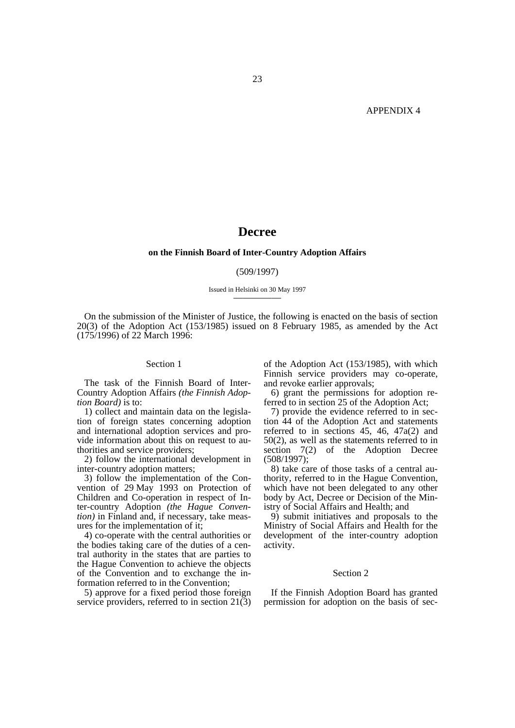### **Decree**

#### **on the Finnish Board of Inter-Country Adoption Affairs**

#### (509/1997)

#### Issued in Helsinki on 30 May 1997 —————

On the submission of the Minister of Justice, the following is enacted on the basis of section 20(3) of the Adoption Act (153/1985) issued on 8 February 1985, as amended by the Act (175/1996) of 22 March 1996:

#### Section 1

The task of the Finnish Board of Inter-Country Adoption Affairs *(the Finnish Adoption Board)* is to:

1) collect and maintain data on the legislation of foreign states concerning adoption and international adoption services and provide information about this on request to authorities and service providers;

2) follow the international development in inter-country adoption matters;

3) follow the implementation of the Convention of 29 May 1993 on Protection of Children and Co-operation in respect of Inter-country Adoption *(the Hague Convention)* in Finland and, if necessary, take measures for the implementation of it;

4) co-operate with the central authorities or the bodies taking care of the duties of a central authority in the states that are parties to the Hague Convention to achieve the objects of the Convention and to exchange the information referred to in the Convention;

5) approve for a fixed period those foreign service providers, referred to in section  $21(3)$  of the Adoption Act (153/1985), with which Finnish service providers may co-operate, and revoke earlier approvals;

6) grant the permissions for adoption referred to in section 25 of the Adoption Act;

7) provide the evidence referred to in section 44 of the Adoption Act and statements referred to in sections 45, 46, 47a(2) and 50(2), as well as the statements referred to in section 7(2) of the Adoption Decree (508/1997);

8) take care of those tasks of a central authority, referred to in the Hague Convention, which have not been delegated to any other body by Act, Decree or Decision of the Ministry of Social Affairs and Health; and

9) submit initiatives and proposals to the Ministry of Social Affairs and Health for the development of the inter-country adoption activity.

#### Section 2

If the Finnish Adoption Board has granted permission for adoption on the basis of sec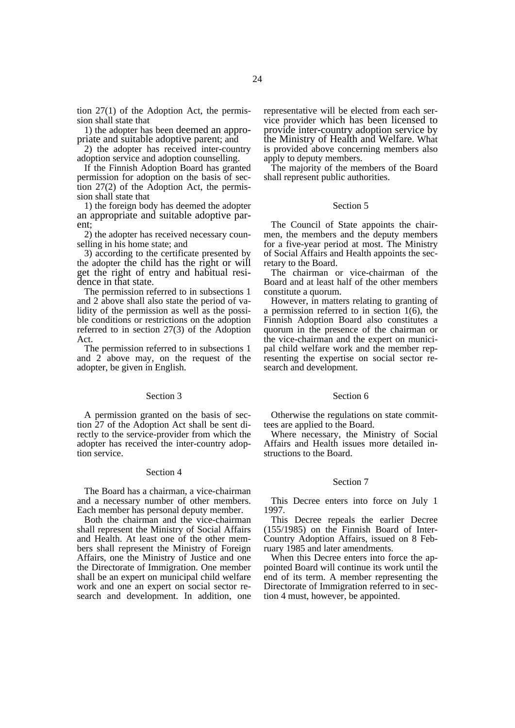tion 27(1) of the Adoption Act, the permission shall state that

1) the adopter has been deemed an appropriate and suitable adoptive parent; and

2) the adopter has received inter-country adoption service and adoption counselling.

If the Finnish Adoption Board has granted permission for adoption on the basis of section 27(2) of the Adoption Act, the permission shall state that

1) the foreign body has deemed the adopter an appropriate and suitable adoptive parent;

2) the adopter has received necessary counselling in his home state; and

3) according to the certificate presented by the adopter the child has the right or will get the right of entry and habitual residence in that state.

The permission referred to in subsections 1 and 2 above shall also state the period of validity of the permission as well as the possible conditions or restrictions on the adoption referred to in section 27(3) of the Adoption Act.

The permission referred to in subsections 1 and 2 above may, on the request of the adopter, be given in English.

#### Section 3

A permission granted on the basis of section 27 of the Adoption Act shall be sent directly to the service-provider from which the adopter has received the inter-country adoption service.

#### Section 4

The Board has a chairman, a vice-chairman and a necessary number of other members. Each member has personal deputy member.

Both the chairman and the vice-chairman shall represent the Ministry of Social Affairs and Health. At least one of the other members shall represent the Ministry of Foreign Affairs, one the Ministry of Justice and one the Directorate of Immigration. One member shall be an expert on municipal child welfare work and one an expert on social sector research and development. In addition, one representative will be elected from each service provider which has been licensed to provide inter-country adoption service by the Ministry of Health and Welfare. What is provided above concerning members also apply to deputy members.

The majority of the members of the Board shall represent public authorities.

#### Section 5

The Council of State appoints the chairmen, the members and the deputy members for a five-year period at most. The Ministry of Social Affairs and Health appoints the secretary to the Board.

The chairman or vice-chairman of the Board and at least half of the other members constitute a quorum.

However, in matters relating to granting of a permission referred to in section 1(6), the Finnish Adoption Board also constitutes a quorum in the presence of the chairman or the vice-chairman and the expert on municipal child welfare work and the member representing the expertise on social sector research and development.

#### Section 6

Otherwise the regulations on state committees are applied to the Board.

Where necessary, the Ministry of Social Affairs and Health issues more detailed instructions to the Board.

#### Section 7

This Decree enters into force on July 1 1997.

This Decree repeals the earlier Decree (155/1985) on the Finnish Board of Inter-Country Adoption Affairs, issued on 8 February 1985 and later amendments.

When this Decree enters into force the appointed Board will continue its work until the end of its term. A member representing the Directorate of Immigration referred to in section 4 must, however, be appointed.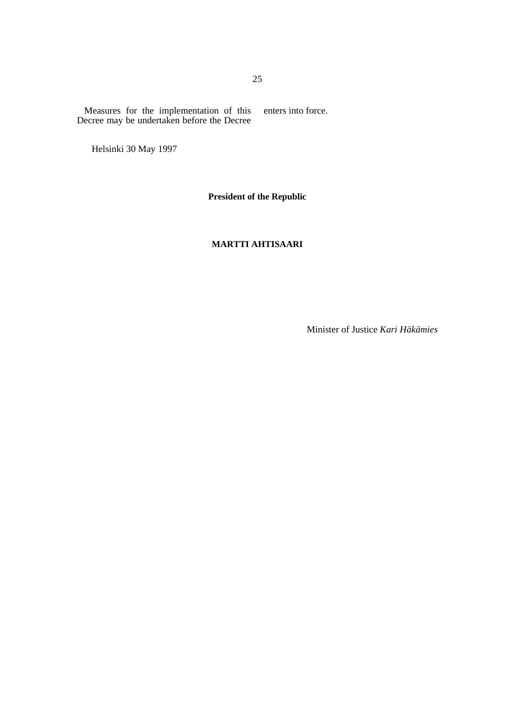Measures for the implementation of this Decree may be undertaken before the Decree enters into force.

Helsinki 30 May 1997

**President of the Republic** 

### **MARTTI AHTISAARI**

Minister of Justice *Kari Häkämies*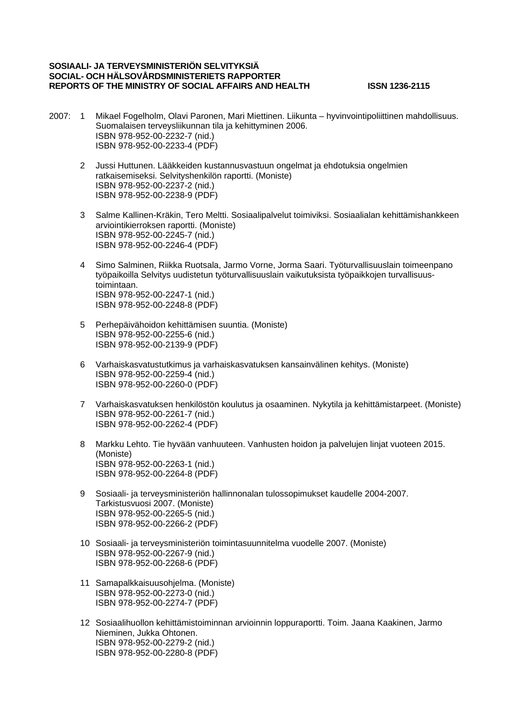#### **SOSIAALI- JA TERVEYSMINISTERIÖN SELVITYKSIÄ SOCIAL- OCH HÄLSOVÅRDSMINISTERIETS RAPPORTER REPORTS OF THE MINISTRY OF SOCIAL AFFAIRS AND HEALTH ISSN 1236-2115**

- 2007: 1 Mikael Fogelholm, Olavi Paronen, Mari Miettinen. Liikunta hyvinvointipoliittinen mahdollisuus. Suomalaisen terveysliikunnan tila ja kehittyminen 2006. ISBN 978-952-00-2232-7 (nid.) ISBN 978-952-00-2233-4 (PDF)
	- 2 Jussi Huttunen. Lääkkeiden kustannusvastuun ongelmat ja ehdotuksia ongelmien ratkaisemiseksi. Selvityshenkilön raportti. (Moniste) ISBN 978-952-00-2237-2 (nid.) ISBN 978-952-00-2238-9 (PDF)
	- 3 Salme Kallinen-Kräkin, Tero Meltti. Sosiaalipalvelut toimiviksi. Sosiaalialan kehittämishankkeen arviointikierroksen raportti. (Moniste) ISBN 978-952-00-2245-7 (nid.) ISBN 978-952-00-2246-4 (PDF)
	- 4 Simo Salminen, Riikka Ruotsala, Jarmo Vorne, Jorma Saari. Työturvallisuuslain toimeenpano työpaikoilla Selvitys uudistetun työturvallisuuslain vaikutuksista työpaikkojen turvallisuustoimintaan. ISBN 978-952-00-2247-1 (nid.) ISBN 978-952-00-2248-8 (PDF)
	- 5 Perhepäivähoidon kehittämisen suuntia. (Moniste) ISBN 978-952-00-2255-6 (nid.) ISBN 978-952-00-2139-9 (PDF)
	- 6 Varhaiskasvatustutkimus ja varhaiskasvatuksen kansainvälinen kehitys. (Moniste) ISBN 978-952-00-2259-4 (nid.) ISBN 978-952-00-2260-0 (PDF)
	- 7 Varhaiskasvatuksen henkilöstön koulutus ja osaaminen. Nykytila ja kehittämistarpeet. (Moniste) ISBN 978-952-00-2261-7 (nid.) ISBN 978-952-00-2262-4 (PDF)
	- 8 Markku Lehto. Tie hyvään vanhuuteen. Vanhusten hoidon ja palvelujen linjat vuoteen 2015. (Moniste) ISBN 978-952-00-2263-1 (nid.) ISBN 978-952-00-2264-8 (PDF)
	- 9 Sosiaali- ja terveysministeriön hallinnonalan tulossopimukset kaudelle 2004-2007. Tarkistusvuosi 2007. (Moniste) ISBN 978-952-00-2265-5 (nid.) ISBN 978-952-00-2266-2 (PDF)
	- 10 Sosiaali- ja terveysministeriön toimintasuunnitelma vuodelle 2007. (Moniste) ISBN 978-952-00-2267-9 (nid.) ISBN 978-952-00-2268-6 (PDF)
	- 11 Samapalkkaisuusohjelma. (Moniste) ISBN 978-952-00-2273-0 (nid.) ISBN 978-952-00-2274-7 (PDF)
	- 12 Sosiaalihuollon kehittämistoiminnan arvioinnin loppuraportti. Toim. Jaana Kaakinen, Jarmo Nieminen, Jukka Ohtonen. ISBN 978-952-00-2279-2 (nid.) ISBN 978-952-00-2280-8 (PDF)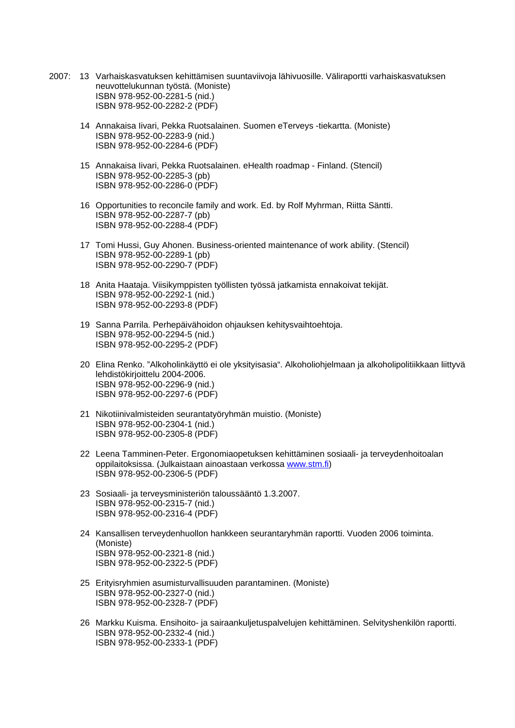- 2007: 13 Varhaiskasvatuksen kehittämisen suuntaviivoja lähivuosille. Väliraportti varhaiskasvatuksen neuvottelukunnan työstä. (Moniste) ISBN 978-952-00-2281-5 (nid.) ISBN 978-952-00-2282-2 (PDF)
	- 14 Annakaisa Iivari, Pekka Ruotsalainen. Suomen eTerveys -tiekartta. (Moniste) ISBN 978-952-00-2283-9 (nid.) ISBN 978-952-00-2284-6 (PDF)
	- 15 Annakaisa Iivari, Pekka Ruotsalainen. eHealth roadmap Finland. (Stencil) ISBN 978-952-00-2285-3 (pb) ISBN 978-952-00-2286-0 (PDF)
	- 16 Opportunities to reconcile family and work. Ed. by Rolf Myhrman, Riitta Säntti. ISBN 978-952-00-2287-7 (pb) ISBN 978-952-00-2288-4 (PDF)
	- 17 Tomi Hussi, Guy Ahonen. Business-oriented maintenance of work ability. (Stencil) ISBN 978-952-00-2289-1 (pb) ISBN 978-952-00-2290-7 (PDF)
	- 18 Anita Haataja. Viisikymppisten työllisten työssä jatkamista ennakoivat tekijät. ISBN 978-952-00-2292-1 (nid.) ISBN 978-952-00-2293-8 (PDF)
	- 19 Sanna Parrila. Perhepäivähoidon ohjauksen kehitysvaihtoehtoja. ISBN 978-952-00-2294-5 (nid.) ISBN 978-952-00-2295-2 (PDF)
	- 20 Elina Renko. "Alkoholinkäyttö ei ole yksityisasia". Alkoholiohjelmaan ja alkoholipolitiikkaan liittyvä lehdistökirjoittelu 2004-2006. ISBN 978-952-00-2296-9 (nid.) ISBN 978-952-00-2297-6 (PDF)
	- 21 Nikotiinivalmisteiden seurantatyöryhmän muistio. (Moniste) ISBN 978-952-00-2304-1 (nid.) ISBN 978-952-00-2305-8 (PDF)
	- 22 Leena Tamminen-Peter. Ergonomiaopetuksen kehittäminen sosiaali- ja terveydenhoitoalan oppilaitoksissa. (Julkaistaan ainoastaan verkossa www.stm.fi) ISBN 978-952-00-2306-5 (PDF)
	- 23 Sosiaali- ja terveysministeriön taloussääntö 1.3.2007. ISBN 978-952-00-2315-7 (nid.) ISBN 978-952-00-2316-4 (PDF)
	- 24 Kansallisen terveydenhuollon hankkeen seurantaryhmän raportti. Vuoden 2006 toiminta. (Moniste) ISBN 978-952-00-2321-8 (nid.) ISBN 978-952-00-2322-5 (PDF)
	- 25 Erityisryhmien asumisturvallisuuden parantaminen. (Moniste) ISBN 978-952-00-2327-0 (nid.) ISBN 978-952-00-2328-7 (PDF)
	- 26 Markku Kuisma. Ensihoito- ja sairaankuljetuspalvelujen kehittäminen. Selvityshenkilön raportti. ISBN 978-952-00-2332-4 (nid.) ISBN 978-952-00-2333-1 (PDF)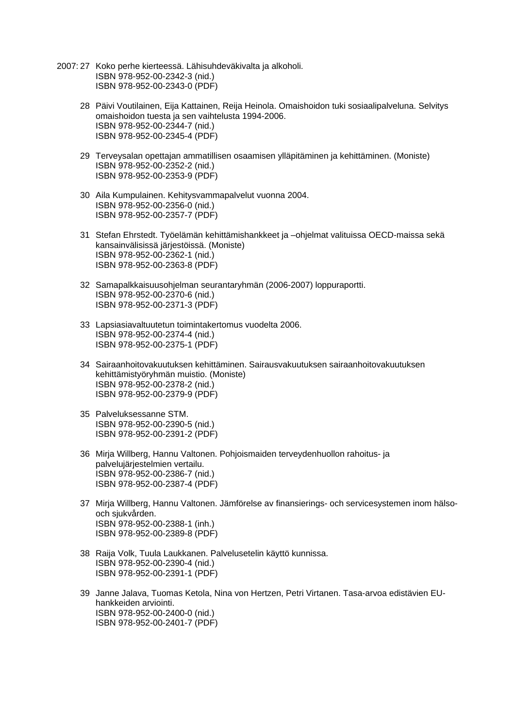- 2007: 27 Koko perhe kierteessä. Lähisuhdeväkivalta ja alkoholi. ISBN 978-952-00-2342-3 (nid.) ISBN 978-952-00-2343-0 (PDF)
	- 28 Päivi Voutilainen, Eija Kattainen, Reija Heinola. Omaishoidon tuki sosiaalipalveluna. Selvitys omaishoidon tuesta ja sen vaihtelusta 1994-2006. ISBN 978-952-00-2344-7 (nid.) ISBN 978-952-00-2345-4 (PDF)
	- 29 Terveysalan opettajan ammatillisen osaamisen ylläpitäminen ja kehittäminen. (Moniste) ISBN 978-952-00-2352-2 (nid.) ISBN 978-952-00-2353-9 (PDF)
	- 30 Aila Kumpulainen. Kehitysvammapalvelut vuonna 2004. ISBN 978-952-00-2356-0 (nid.) ISBN 978-952-00-2357-7 (PDF)
	- 31 Stefan Ehrstedt. Työelämän kehittämishankkeet ja –ohjelmat valituissa OECD-maissa sekä kansainvälisissä järjestöissä. (Moniste) ISBN 978-952-00-2362-1 (nid.) ISBN 978-952-00-2363-8 (PDF)
	- 32 Samapalkkaisuusohjelman seurantaryhmän (2006-2007) loppuraportti. ISBN 978-952-00-2370-6 (nid.) ISBN 978-952-00-2371-3 (PDF)
	- 33 Lapsiasiavaltuutetun toimintakertomus vuodelta 2006. ISBN 978-952-00-2374-4 (nid.) ISBN 978-952-00-2375-1 (PDF)
	- 34 Sairaanhoitovakuutuksen kehittäminen. Sairausvakuutuksen sairaanhoitovakuutuksen kehittämistyöryhmän muistio. (Moniste) ISBN 978-952-00-2378-2 (nid.) ISBN 978-952-00-2379-9 (PDF)
	- 35 Palveluksessanne STM. ISBN 978-952-00-2390-5 (nid.) ISBN 978-952-00-2391-2 (PDF)
	- 36 Mirja Willberg, Hannu Valtonen. Pohjoismaiden terveydenhuollon rahoitus- ja palvelujärjestelmien vertailu. ISBN 978-952-00-2386-7 (nid.) ISBN 978-952-00-2387-4 (PDF)
	- 37 Mirja Willberg, Hannu Valtonen. Jämförelse av finansierings- och servicesystemen inom hälsooch sjukvården. ISBN 978-952-00-2388-1 (inh.) ISBN 978-952-00-2389-8 (PDF)
	- 38 Raija Volk, Tuula Laukkanen. Palvelusetelin käyttö kunnissa. ISBN 978-952-00-2390-4 (nid.) ISBN 978-952-00-2391-1 (PDF)
	- 39 Janne Jalava, Tuomas Ketola, Nina von Hertzen, Petri Virtanen. Tasa-arvoa edistävien EUhankkeiden arviointi. ISBN 978-952-00-2400-0 (nid.) ISBN 978-952-00-2401-7 (PDF)